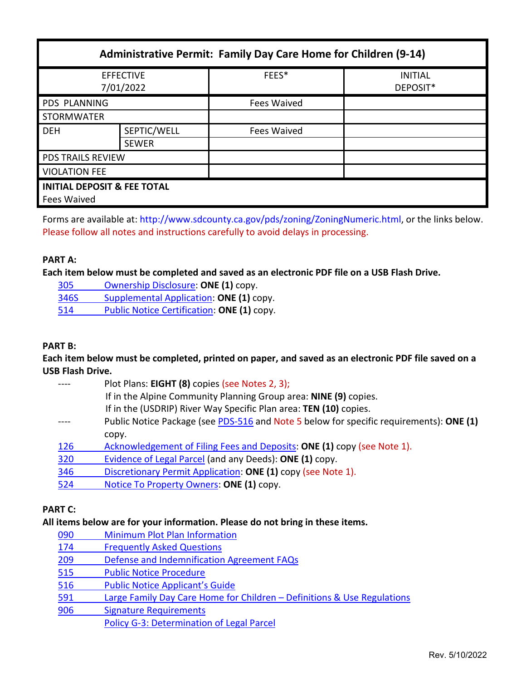| <b>Administrative Permit: Family Day Care Home for Children (9-14)</b> |                             |                    |                            |  |  |
|------------------------------------------------------------------------|-----------------------------|--------------------|----------------------------|--|--|
| <b>EFFECTIVE</b><br>7/01/2022                                          |                             | FEES*              | <b>INITIAL</b><br>DEPOSIT* |  |  |
| PDS PLANNING                                                           |                             | <b>Fees Waived</b> |                            |  |  |
| <b>STORMWATER</b>                                                      |                             |                    |                            |  |  |
| <b>DEH</b>                                                             | SEPTIC/WELL<br><b>SEWER</b> | <b>Fees Waived</b> |                            |  |  |
| <b>PDS TRAILS REVIEW</b>                                               |                             |                    |                            |  |  |
| <b>VIOLATION FEE</b>                                                   |                             |                    |                            |  |  |
| <b>INITIAL DEPOSIT &amp; FEE TOTAL</b><br><b>Fees Waived</b>           |                             |                    |                            |  |  |

Forms are available at[: http://www.sdcounty.ca.gov/pds/zoning/ZoningNumeric.html,](http://www.sdcounty.ca.gov/pds/zoning/ZoningNumeric.html) or the links below. Please follow all notes and instructions carefully to avoid delays in processing.

## **PART A:**

**Each item below must be completed and saved as an electronic PDF file on a USB Flash Drive.**

[305 Ownership Disclosure:](https://www.sandiegocounty.gov/content/dam/sdc/pds/zoning/formfields/PDS-PLN-305.pdf) **ONE (1)** copy. [346S Supplemental Application:](https://www.sandiegocounty.gov/content/dam/sdc/pds/zoning/formfields/PDS-PLN-346S.pdf) **ONE (1)** copy. 514 [Public Notice Certification:](https://www.sandiegocounty.gov/content/dam/sdc/pds/zoning/formfields/PDS-PLN-514.pdf) **ONE (1)** copy.

### **PART B:**

**Each item below must be completed, printed on paper, and saved as an electronic PDF file saved on a USB Flash Drive.**

|     | Plot Plans: EIGHT (8) copies (see Notes 2, 3);                                          |
|-----|-----------------------------------------------------------------------------------------|
|     | If in the Alpine Community Planning Group area: NINE (9) copies.                        |
|     | If in the (USDRIP) River Way Specific Plan area: TEN (10) copies.                       |
|     | Public Notice Package (see PDS-516 and Note 5 below for specific requirements): ONE (1) |
|     | copy.                                                                                   |
| 126 | Acknowledgement of Filing Fees and Deposits: ONE (1) copy (see Note 1).                 |
| 320 | Evidence of Legal Parcel (and any Deeds): ONE (1) copy.                                 |
| 346 | Discretionary Permit Application: ONE (1) copy (see Note 1).                            |
| 524 | Notice To Property Owners: ONE (1) copy.                                                |

# **PART C:**

#### **All items below are for your information. Please do not bring in these items.**

- 090 [Minimum Plot Plan Information](http://www.sdcounty.ca.gov/pds/docs/pds090.pdf)
- 174 [Frequently Asked Questions](https://www.sandiegocounty.gov/content/dam/sdc/pds/zoning/formfields/PDS-PLN-174.pdf)
- 209 [Defense and Indemnification Agreement FAQs](https://www.sandiegocounty.gov/content/dam/sdc/pds/zoning/formfields/PDS-PLN-209.pdf)
- [515 Public Notice Procedure](https://www.sandiegocounty.gov/content/dam/sdc/pds/zoning/formfields/PDS-PLN-515.pdf)
- [516 Public Notice Applicant's Guide](https://www.sandiegocounty.gov/content/dam/sdc/pds/zoning/formfields/PDS-PLN-516.pdf)
- [591 Large Family Day Care Home for Children Definitions & Use Regulations](https://www.sandiegocounty.gov/content/dam/sdc/pds/zoning/formfields/PDS-PLN-591.pdf)
- [906 Signature Requirements](https://www.sandiegocounty.gov/content/dam/sdc/pds/zoning/formfields/PDS-PLN-906.pdf)
	- [Policy G-3: Determination of Legal](http://www.sdcounty.ca.gov/pds/zoning/formfields/POLICY-G-3.pdf) Parcel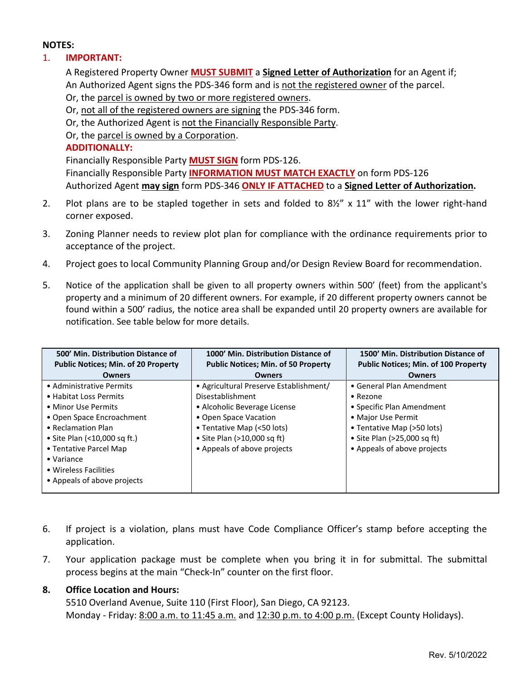#### **NOTES:**

#### 1. **IMPORTANT:**

A Registered Property Owner **MUST SUBMIT** a **Signed Letter of Authorization** for an Agent if; An Authorized Agent signs the PDS-346 form and is not the registered owner of the parcel.

- Or, the parcel is owned by two or more registered owners.
- Or, not all of the registered owners are signing the PDS-346 form.
- Or, the Authorized Agent is not the Financially Responsible Party.

Or, the parcel is owned by a Corporation.

## **ADDITIONALLY:**

Financially Responsible Party **MUST SIGN** form PDS-126. Financially Responsible Party **INFORMATION MUST MATCH EXACTLY** on form PDS-126 Authorized Agent **may sign** form PDS-346 **ONLY IF ATTACHED** to a **Signed Letter of Authorization.** 

- 2. Plot plans are to be stapled together in sets and folded to 8½" x 11" with the lower right-hand corner exposed.
- 3. Zoning Planner needs to review plot plan for compliance with the ordinance requirements prior to acceptance of the project.
- 4. Project goes to local Community Planning Group and/or Design Review Board for recommendation.
- 5. Notice of the application shall be given to all property owners within 500' (feet) from the applicant's property and a minimum of 20 different owners. For example, if 20 different property owners cannot be found within a 500' radius, the notice area shall be expanded until 20 property owners are available for notification. See table below for more details.

| 500' Min. Distribution Distance of<br><b>Public Notices; Min. of 20 Property</b> | 1000' Min. Distribution Distance of<br><b>Public Notices: Min. of 50 Property</b> | 1500' Min. Distribution Distance of<br><b>Public Notices: Min. of 100 Property</b> |
|----------------------------------------------------------------------------------|-----------------------------------------------------------------------------------|------------------------------------------------------------------------------------|
| <b>Owners</b>                                                                    | <b>Owners</b>                                                                     | <b>Owners</b>                                                                      |
| • Administrative Permits                                                         | • Agricultural Preserve Establishment/                                            | • General Plan Amendment                                                           |
| • Habitat Loss Permits                                                           | Disestablishment                                                                  | $\bullet$ Rezone                                                                   |
| • Minor Use Permits                                                              | • Alcoholic Beverage License                                                      | • Specific Plan Amendment                                                          |
| • Open Space Encroachment                                                        | • Open Space Vacation                                                             | • Major Use Permit                                                                 |
| • Reclamation Plan                                                               | • Tentative Map (<50 lots)                                                        | • Tentative Map (>50 lots)                                                         |
| • Site Plan (<10,000 sq ft.)                                                     | • Site Plan (>10,000 sq ft)                                                       | • Site Plan (>25,000 sq ft)                                                        |
| • Tentative Parcel Map                                                           | • Appeals of above projects                                                       | • Appeals of above projects                                                        |
| $\bullet$ Variance                                                               |                                                                                   |                                                                                    |
| • Wireless Facilities                                                            |                                                                                   |                                                                                    |
| • Appeals of above projects                                                      |                                                                                   |                                                                                    |

- 6. If project is a violation, plans must have Code Compliance Officer's stamp before accepting the application.
- 7. Your application package must be complete when you bring it in for submittal. The submittal process begins at the main "Check-In" counter on the first floor.

#### **8. Office Location and Hours:**

5510 Overland Avenue, Suite 110 (First Floor), San Diego, CA 92123. Monday - Friday: 8:00 a.m. to 11:45 a.m. and 12:30 p.m. to 4:00 p.m. (Except County Holidays).